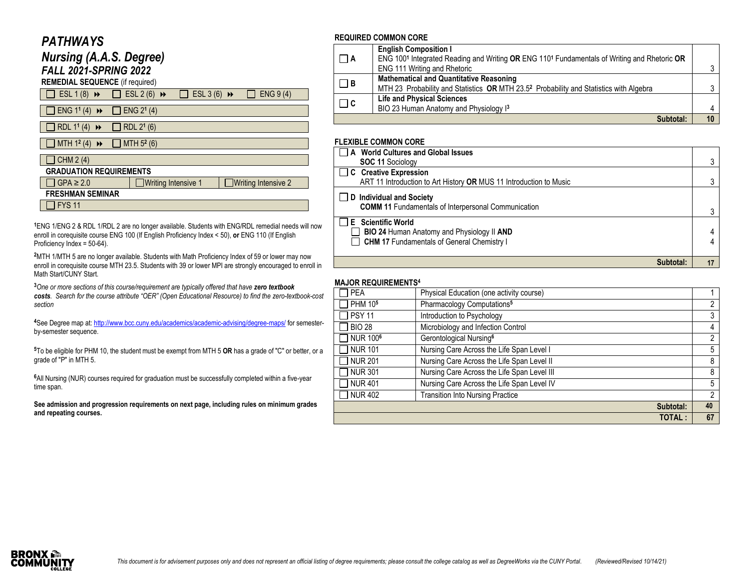## *PATHWAYS*

| <b>Nursing (A.A.S. Degree)</b><br><b>FALL 2021-SPRING 2022</b><br><b>REMEDIAL SEQUENCE</b> (if required) |                                            |  |  |  |
|----------------------------------------------------------------------------------------------------------|--------------------------------------------|--|--|--|
| ESL $1(8)$ $\rightarrow$<br>ESL 2 (6) $\rightarrow$                                                      | ESL 3 (6) $\rightarrow$<br>ENG 9 (4)       |  |  |  |
| ENG $1^1(4)$ $\rightarrow$<br>ENG 2 <sup>1</sup> (4)                                                     |                                            |  |  |  |
| RDL $1^1$ (4) $\rightarrow$<br>RDL 2 <sup>1</sup> (6)                                                    |                                            |  |  |  |
| MTH $12(4)$<br>MTH 5 <sup>2</sup> (6)<br>$\rightarrow$                                                   |                                            |  |  |  |
| CHM 2 (4)                                                                                                |                                            |  |  |  |
| <b>GRADUATION REQUIREMENTS</b>                                                                           |                                            |  |  |  |
| $GPA \geq 2.0$                                                                                           | Writing Intensive 2<br>Writing Intensive 1 |  |  |  |
| <b>FRESHMAN SEMINAR</b>                                                                                  |                                            |  |  |  |
| <b>FYS 11</b>                                                                                            |                                            |  |  |  |

**<sup>1</sup>**ENG 1/ENG 2 & RDL 1/RDL 2 are no longer available. Students with ENG/RDL remedial needs will now enroll in corequisite course ENG 100 (If English Proficiency Index < 50), **or** ENG 110 (If English Proficiency Index = 50-64).

**<sup>2</sup>**MTH 1/MTH 5 are no longer available. Students with Math Proficiency Index of 59 or lower may now enroll in corequisite course MTH 23.5. Students with 39 or lower MPI are strongly encouraged to enroll in Math Start/CUNY Start.

**<sup>3</sup>***One or more sections of this course/requirement are typically offered that have zero textbook*  **costs**. Search for the course attribute "OER" (Open Educational Resource) to find the zero-textbook-cost *section*

**<sup>4</sup>**See Degree map at[: http://www.bcc.cuny.edu/academics/academic-advising/degree-maps/](http://www.bcc.cuny.edu/academics/academic-advising/degree-maps/) for semesterby-semester sequence.

**<sup>5</sup>**To be eligible for PHM 10, the student must be exempt from MTH 5 **OR** has a grade of "C" or better, or a grade of "P" in MTH 5.

**<sup>6</sup>**All Nursing (NUR) courses required for graduation must be successfully completed within a five-year time span.

**See admission and progression requirements on next page, including rules on minimum grades and repeating courses.**

#### **REQUIRED COMMON CORE**

|          | <b>English Composition I</b>                                                                       |    |
|----------|----------------------------------------------------------------------------------------------------|----|
| $\Box$ A | ENG 1001 Integrated Reading and Writing OR ENG 1101 Fundamentals of Writing and Rhetoric OR        |    |
|          | ENG 111 Writing and Rhetoric                                                                       |    |
| $\Box$ B | <b>Mathematical and Quantitative Reasoning</b>                                                     |    |
|          | MTH 23 Probability and Statistics OR MTH 23.5 <sup>2</sup> Probability and Statistics with Algebra |    |
| $\Box$ c | <b>Life and Physical Sciences</b>                                                                  |    |
|          | BIO 23 Human Anatomy and Physiology 13                                                             |    |
|          | Subtotal:                                                                                          | 10 |

### **FLEXIBLE COMMON CORE**

| □ A World Cultures and Global Issues                                                          |  |
|-----------------------------------------------------------------------------------------------|--|
| <b>SOC 11 Sociology</b>                                                                       |  |
| <b>TC</b> Creative Expression                                                                 |  |
| ART 11 Introduction to Art History OR MUS 11 Introduction to Music                            |  |
| $\Box$ D Individual and Society<br><b>COMM 11 Fundamentals of Interpersonal Communication</b> |  |
| □ E Scientific World                                                                          |  |
| <b>BIO 24 Human Anatomy and Physiology II AND</b>                                             |  |
| <b>CHM 17 Fundamentals of General Chemistry I</b>                                             |  |
|                                                                                               |  |
| Subtotal:                                                                                     |  |

### **MAJOR REQUIREMENTS 4**

| MAVOIN INLWOINLIMENTO |                                             |                |
|-----------------------|---------------------------------------------|----------------|
| <b>PEA</b>            | Physical Education (one activity course)    |                |
| PHM 10 <sup>5</sup>   | Pharmacology Computations <sup>5</sup>      | 2              |
| <b>PSY 11</b>         | Introduction to Psychology                  | 3              |
| <b>BIO 28</b>         | Microbiology and Infection Control          | 4              |
| <b>NUR 1006</b>       | Gerontological Nursing <sup>6</sup>         | 2              |
| <b>NUR 101</b>        | Nursing Care Across the Life Span Level I   | 5              |
| <b>NUR 201</b>        | Nursing Care Across the Life Span Level II  | 8              |
| <b>NUR 301</b>        | Nursing Care Across the Life Span Level III | 8              |
| <b>NUR401</b>         | Nursing Care Across the Life Span Level IV  | 5              |
| <b>NUR 402</b>        | <b>Transition Into Nursing Practice</b>     | $\mathfrak{p}$ |
|                       | Subtotal:                                   | 40             |
|                       | <b>TOTAL:</b>                               | 67             |